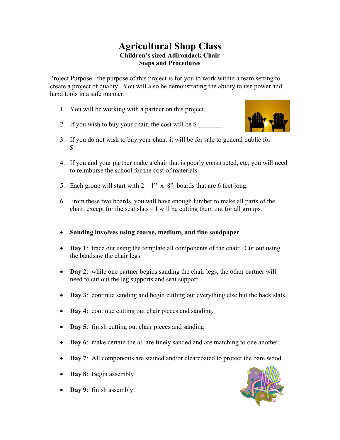## **Agricultural Shop Class Children's sized Adirondack Chair Steps and Procedures**

Project Purpose: the purpose of this project is for you to work within a team setting to create a project of quality. You will also be demonstrating the ability to use power and hand tools in a safe manner.

- 1. You will be working with a partner on this project.
- 2. If you wish to buy your chair, the cost will be \$



- 3. If you do not wish to buy your chair, it will be for sale to general public for  $\mathbb{S}^-$
- 4. If you and your partner make a chair that is poorly constructed, etc, you will need to reimburse the school for the cost of materials.
- 5. Each group will start with  $2 1$ " x 8" boards that are 6 feet long.
- 6. From these two boards, you will have enough lumber to make all parts of the chair, except for the seat slats – I will be cutting them out for all groups.
- **Sanding involves using coarse, medium, and fine sandpaper**.
- Day 1: trace out using the template all components of the chair. Cut out using the bandsaw the chair legs.
- **Day 2**: while one partner begins sanding the chair legs, the other partner will need to cut out the leg supports and seat support.
- **Day 3**: continue sanding and begin cutting out everything else but the back slats.
- Day 4: continue cutting out chair pieces and sanding.
- Day 5: finish cutting out chair pieces and sanding.
- **Day 6**: make certain the all are finely sanded and are matching to one another.
- Day 7: All components are stained and/or clearcoated to protect the bare wood.
- Day 8: Begin assembly
- **Day 9**: finish assembly.

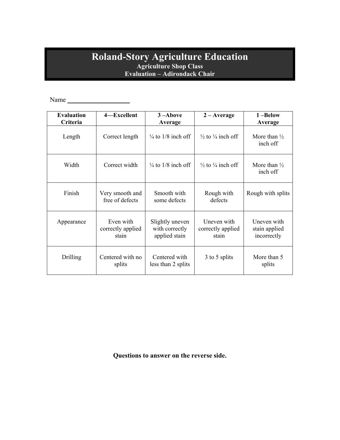## **Roland-Story Agriculture Education Agriculture Shop Class Evaluation – Adirondack Chair**

Name

| <b>Evaluation</b><br>Criteria | 4-Excellent                             | $3 -$ Above<br>Average                             | $2 - Average$                             | 1-Below<br>Average                          |
|-------------------------------|-----------------------------------------|----------------------------------------------------|-------------------------------------------|---------------------------------------------|
| Length                        | Correct length                          | $\frac{1}{4}$ to 1/8 inch off                      | $\frac{1}{2}$ to $\frac{1}{4}$ inch off   | More than $\frac{1}{2}$<br>inch off         |
| Width                         | Correct width                           | $\frac{1}{4}$ to 1/8 inch off                      | $\frac{1}{2}$ to $\frac{1}{4}$ inch off   | More than $\frac{1}{2}$<br>inch off         |
| Finish                        | Very smooth and<br>free of defects      | Smooth with<br>some defects                        | Rough with<br>defects                     | Rough with splits                           |
| Appearance                    | Even with<br>correctly applied<br>stain | Slightly uneven<br>with correctly<br>applied stain | Uneven with<br>correctly applied<br>stain | Uneven with<br>stain applied<br>incorrectly |
| Drilling                      | Centered with no<br>splits              | Centered with<br>less than 2 splits                | 3 to 5 splits                             | More than 5<br>splits                       |

**Questions to answer on the reverse side.**